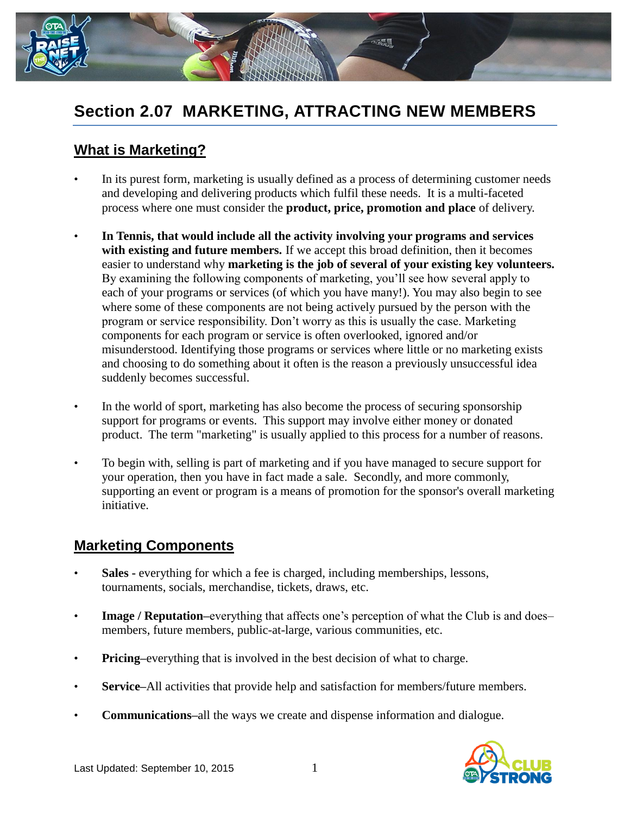

# **Section 2.07 MARKETING, ATTRACTING NEW MEMBERS**

#### **What is Marketing?**

- In its purest form, marketing is usually defined as a process of determining customer needs and developing and delivering products which fulfil these needs. It is a multi-faceted process where one must consider the **product, price, promotion and place** of delivery.
- **In Tennis, that would include all the activity involving your programs and services**  with existing and future members. If we accept this broad definition, then it becomes easier to understand why **marketing is the job of several of your existing key volunteers.**  By examining the following components of marketing, you'll see how several apply to each of your programs or services (of which you have many!). You may also begin to see where some of these components are not being actively pursued by the person with the program or service responsibility. Don't worry as this is usually the case. Marketing components for each program or service is often overlooked, ignored and/or misunderstood. Identifying those programs or services where little or no marketing exists and choosing to do something about it often is the reason a previously unsuccessful idea suddenly becomes successful.
- In the world of sport, marketing has also become the process of securing sponsorship support for programs or events. This support may involve either money or donated product. The term "marketing" is usually applied to this process for a number of reasons.
- To begin with, selling is part of marketing and if you have managed to secure support for your operation, then you have in fact made a sale. Secondly, and more commonly, supporting an event or program is a means of promotion for the sponsor's overall marketing initiative.

#### **Marketing Components**

- **Sales -** everything for which a fee is charged, including memberships, lessons, tournaments, socials, merchandise, tickets, draws, etc.
- **Image** / **Reputation**–everything that affects one's perception of what the Club is and does– members, future members, public-at-large, various communities, etc.
- **Pricing–**everything that is involved in the best decision of what to charge.
- **Service–**All activities that provide help and satisfaction for members/future members.
- **Communications–**all the ways we create and dispense information and dialogue.

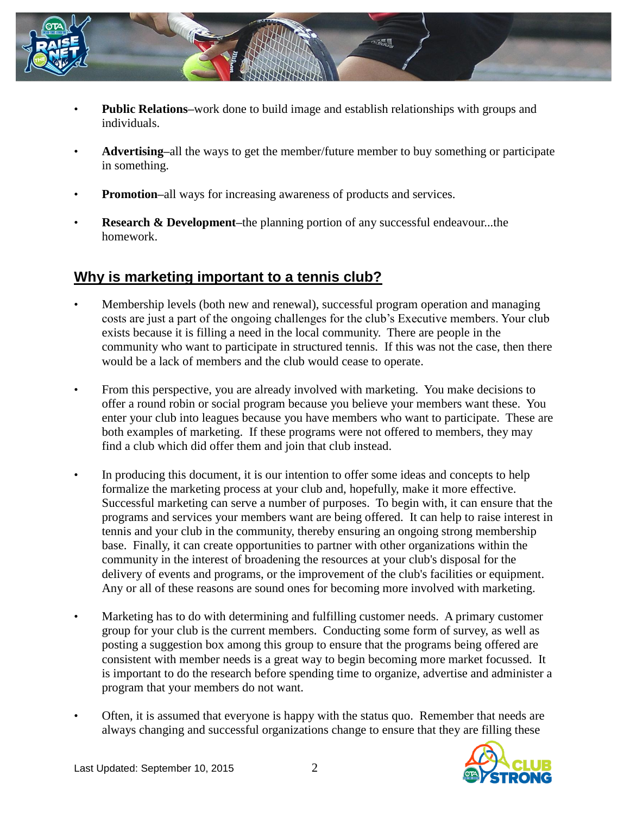

- **Public Relations–**work done to build image and establish relationships with groups and individuals.
- **Advertising–**all the ways to get the member/future member to buy something or participate in something.
- **Promotion–all ways for increasing awareness of products and services.**
- **Research & Development–the planning portion of any successful endeavour...the** homework.

#### **Why is marketing important to a tennis club?**

- Membership levels (both new and renewal), successful program operation and managing costs are just a part of the ongoing challenges for the club's Executive members. Your club exists because it is filling a need in the local community. There are people in the community who want to participate in structured tennis. If this was not the case, then there would be a lack of members and the club would cease to operate.
- From this perspective, you are already involved with marketing. You make decisions to offer a round robin or social program because you believe your members want these. You enter your club into leagues because you have members who want to participate. These are both examples of marketing. If these programs were not offered to members, they may find a club which did offer them and join that club instead.
- In producing this document, it is our intention to offer some ideas and concepts to help formalize the marketing process at your club and, hopefully, make it more effective. Successful marketing can serve a number of purposes. To begin with, it can ensure that the programs and services your members want are being offered. It can help to raise interest in tennis and your club in the community, thereby ensuring an ongoing strong membership base. Finally, it can create opportunities to partner with other organizations within the community in the interest of broadening the resources at your club's disposal for the delivery of events and programs, or the improvement of the club's facilities or equipment. Any or all of these reasons are sound ones for becoming more involved with marketing.
- Marketing has to do with determining and fulfilling customer needs. A primary customer group for your club is the current members. Conducting some form of survey, as well as posting a suggestion box among this group to ensure that the programs being offered are consistent with member needs is a great way to begin becoming more market focussed. It is important to do the research before spending time to organize, advertise and administer a program that your members do not want.
- Often, it is assumed that everyone is happy with the status quo. Remember that needs are always changing and successful organizations change to ensure that they are filling these

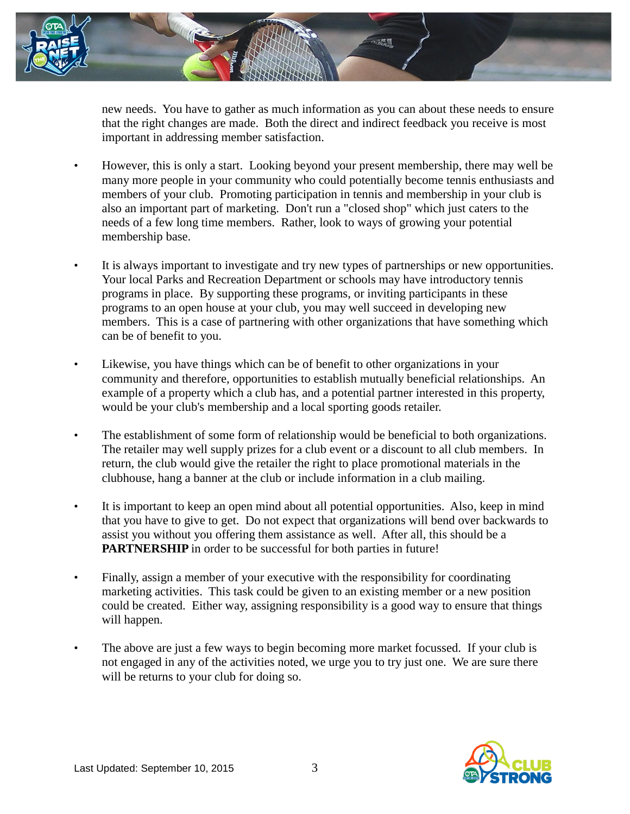

new needs. You have to gather as much information as you can about these needs to ensure that the right changes are made. Both the direct and indirect feedback you receive is most important in addressing member satisfaction.

- However, this is only a start. Looking beyond your present membership, there may well be many more people in your community who could potentially become tennis enthusiasts and members of your club. Promoting participation in tennis and membership in your club is also an important part of marketing. Don't run a "closed shop" which just caters to the needs of a few long time members. Rather, look to ways of growing your potential membership base.
- It is always important to investigate and try new types of partnerships or new opportunities. Your local Parks and Recreation Department or schools may have introductory tennis programs in place. By supporting these programs, or inviting participants in these programs to an open house at your club, you may well succeed in developing new members. This is a case of partnering with other organizations that have something which can be of benefit to you.
- Likewise, you have things which can be of benefit to other organizations in your community and therefore, opportunities to establish mutually beneficial relationships. An example of a property which a club has, and a potential partner interested in this property, would be your club's membership and a local sporting goods retailer.
- The establishment of some form of relationship would be beneficial to both organizations. The retailer may well supply prizes for a club event or a discount to all club members. In return, the club would give the retailer the right to place promotional materials in the clubhouse, hang a banner at the club or include information in a club mailing.
- It is important to keep an open mind about all potential opportunities. Also, keep in mind that you have to give to get. Do not expect that organizations will bend over backwards to assist you without you offering them assistance as well. After all, this should be a **PARTNERSHIP** in order to be successful for both parties in future!
- Finally, assign a member of your executive with the responsibility for coordinating marketing activities. This task could be given to an existing member or a new position could be created. Either way, assigning responsibility is a good way to ensure that things will happen.
- The above are just a few ways to begin becoming more market focussed. If your club is not engaged in any of the activities noted, we urge you to try just one. We are sure there will be returns to your club for doing so.

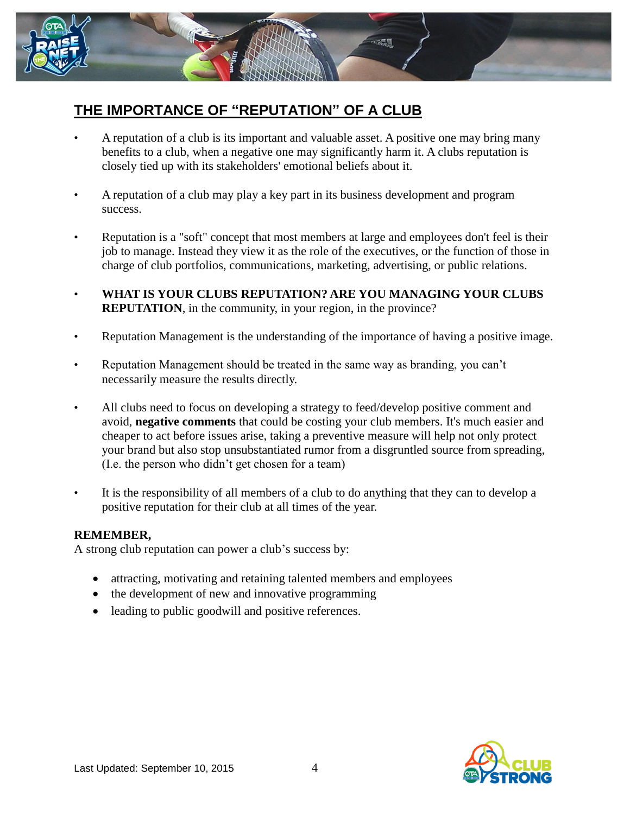

#### **THE IMPORTANCE OF "REPUTATION" OF A CLUB**

- A reputation of a club is its important and valuable asset. A positive one may bring many benefits to a club, when a negative one may significantly harm it. A clubs reputation is closely tied up with its stakeholders' emotional beliefs about it.
- A reputation of a club may play a key part in its business development and program success.
- Reputation is a "soft" concept that most members at large and employees don't feel is their job to manage. Instead they view it as the role of the executives, or the function of those in charge of club portfolios, communications, marketing, advertising, or public relations.
- **WHAT IS YOUR CLUBS REPUTATION? ARE YOU MANAGING YOUR CLUBS REPUTATION**, in the community, in your region, in the province?
- Reputation Management is the understanding of the importance of having a positive image.
- Reputation Management should be treated in the same way as branding, you can't necessarily measure the results directly.
- All clubs need to focus on developing a strategy to feed/develop positive comment and avoid, **negative comments** that could be costing your club members. It's much easier and cheaper to act before issues arise, taking a preventive measure will help not only protect your brand but also stop unsubstantiated rumor from a disgruntled source from spreading, (I.e. the person who didn't get chosen for a team)
- It is the responsibility of all members of a club to do anything that they can to develop a positive reputation for their club at all times of the year.

#### **REMEMBER,**

A strong club reputation can power a club's success by:

- attracting, motivating and retaining talented members and employees
- the development of new and innovative programming
- leading to public goodwill and positive references.

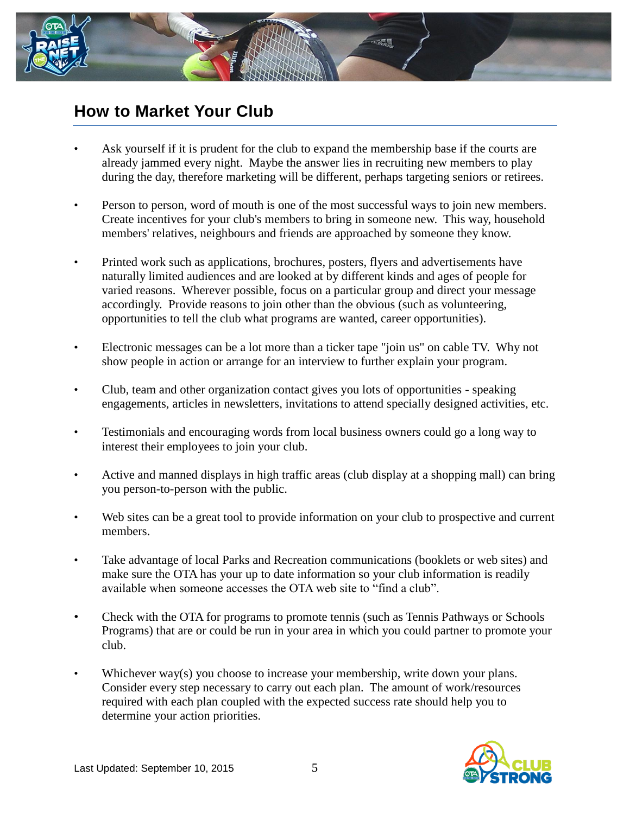

# **How to Market Your Club**

- Ask yourself if it is prudent for the club to expand the membership base if the courts are already jammed every night. Maybe the answer lies in recruiting new members to play during the day, therefore marketing will be different, perhaps targeting seniors or retirees.
- Person to person, word of mouth is one of the most successful ways to join new members. Create incentives for your club's members to bring in someone new. This way, household members' relatives, neighbours and friends are approached by someone they know.
- Printed work such as applications, brochures, posters, flyers and advertisements have naturally limited audiences and are looked at by different kinds and ages of people for varied reasons. Wherever possible, focus on a particular group and direct your message accordingly. Provide reasons to join other than the obvious (such as volunteering, opportunities to tell the club what programs are wanted, career opportunities).
- Electronic messages can be a lot more than a ticker tape "join us" on cable TV. Why not show people in action or arrange for an interview to further explain your program.
- Club, team and other organization contact gives you lots of opportunities speaking engagements, articles in newsletters, invitations to attend specially designed activities, etc.
- Testimonials and encouraging words from local business owners could go a long way to interest their employees to join your club.
- Active and manned displays in high traffic areas (club display at a shopping mall) can bring you person-to-person with the public.
- Web sites can be a great tool to provide information on your club to prospective and current members.
- Take advantage of local Parks and Recreation communications (booklets or web sites) and make sure the OTA has your up to date information so your club information is readily available when someone accesses the OTA web site to "find a club".
- Check with the OTA for programs to promote tennis (such as Tennis Pathways or Schools Programs) that are or could be run in your area in which you could partner to promote your club.
- Whichever way(s) you choose to increase your membership, write down your plans. Consider every step necessary to carry out each plan. The amount of work/resources required with each plan coupled with the expected success rate should help you to determine your action priorities.

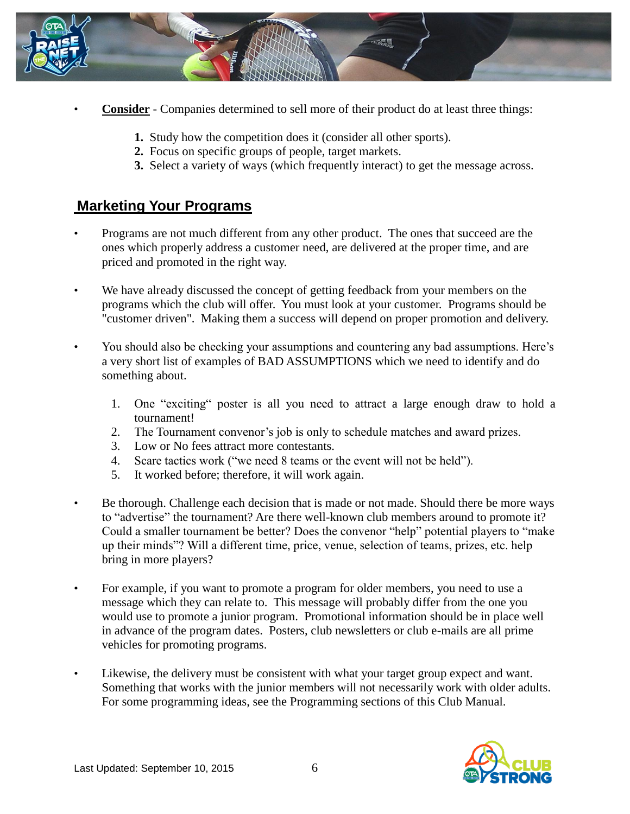

- **Consider** Companies determined to sell more of their product do at least three things:
	- **1.** Study how the competition does it (consider all other sports).
	- **2.** Focus on specific groups of people, target markets.
	- **3.** Select a variety of ways (which frequently interact) to get the message across.

#### **Marketing Your Programs**

- Programs are not much different from any other product. The ones that succeed are the ones which properly address a customer need, are delivered at the proper time, and are priced and promoted in the right way.
- We have already discussed the concept of getting feedback from your members on the programs which the club will offer. You must look at your customer. Programs should be "customer driven". Making them a success will depend on proper promotion and delivery.
- You should also be checking your assumptions and countering any bad assumptions. Here's a very short list of examples of BAD ASSUMPTIONS which we need to identify and do something about.
	- 1. One "exciting" poster is all you need to attract a large enough draw to hold a tournament!
	- 2. The Tournament convenor's job is only to schedule matches and award prizes.
	- 3. Low or No fees attract more contestants.
	- 4. Scare tactics work ("we need 8 teams or the event will not be held").
	- 5. It worked before; therefore, it will work again.
- Be thorough. Challenge each decision that is made or not made. Should there be more ways to "advertise" the tournament? Are there well-known club members around to promote it? Could a smaller tournament be better? Does the convenor "help" potential players to "make up their minds"? Will a different time, price, venue, selection of teams, prizes, etc. help bring in more players?
- For example, if you want to promote a program for older members, you need to use a message which they can relate to. This message will probably differ from the one you would use to promote a junior program. Promotional information should be in place well in advance of the program dates. Posters, club newsletters or club e-mails are all prime vehicles for promoting programs.
- Likewise, the delivery must be consistent with what your target group expect and want. Something that works with the junior members will not necessarily work with older adults. For some programming ideas, see the Programming sections of this Club Manual.

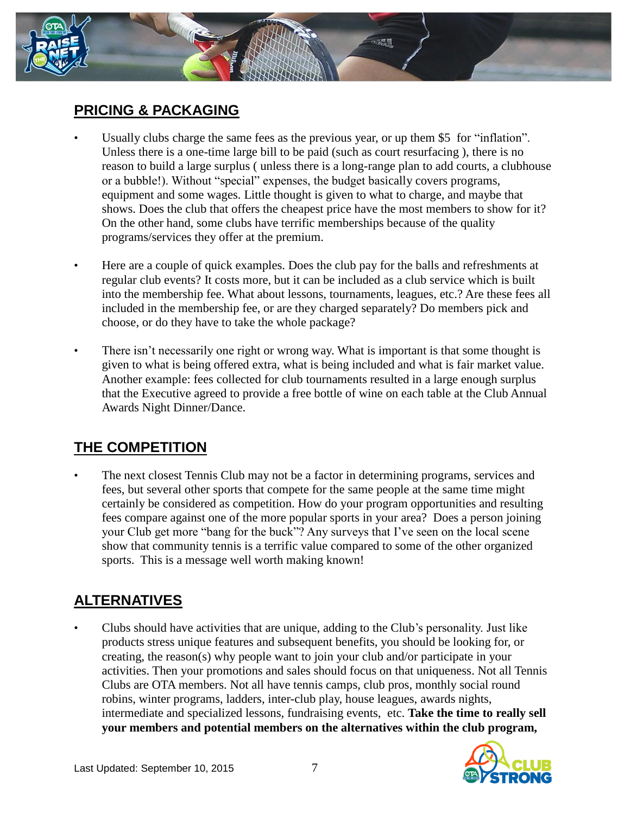

#### **PRICING & PACKAGING**

- Usually clubs charge the same fees as the previous year, or up them \$5 for "inflation". Unless there is a one-time large bill to be paid (such as court resurfacing ), there is no reason to build a large surplus ( unless there is a long-range plan to add courts, a clubhouse or a bubble!). Without "special" expenses, the budget basically covers programs, equipment and some wages. Little thought is given to what to charge, and maybe that shows. Does the club that offers the cheapest price have the most members to show for it? On the other hand, some clubs have terrific memberships because of the quality programs/services they offer at the premium.
- Here are a couple of quick examples. Does the club pay for the balls and refreshments at regular club events? It costs more, but it can be included as a club service which is built into the membership fee. What about lessons, tournaments, leagues, etc.? Are these fees all included in the membership fee, or are they charged separately? Do members pick and choose, or do they have to take the whole package?
- There isn't necessarily one right or wrong way. What is important is that some thought is given to what is being offered extra, what is being included and what is fair market value. Another example: fees collected for club tournaments resulted in a large enough surplus that the Executive agreed to provide a free bottle of wine on each table at the Club Annual Awards Night Dinner/Dance.

# **THE COMPETITION**

The next closest Tennis Club may not be a factor in determining programs, services and fees, but several other sports that compete for the same people at the same time might certainly be considered as competition. How do your program opportunities and resulting fees compare against one of the more popular sports in your area? Does a person joining your Club get more "bang for the buck"? Any surveys that I've seen on the local scene show that community tennis is a terrific value compared to some of the other organized sports. This is a message well worth making known!

# **ALTERNATIVES**

• Clubs should have activities that are unique, adding to the Club's personality. Just like products stress unique features and subsequent benefits, you should be looking for, or creating, the reason(s) why people want to join your club and/or participate in your activities. Then your promotions and sales should focus on that uniqueness. Not all Tennis Clubs are OTA members. Not all have tennis camps, club pros, monthly social round robins, winter programs, ladders, inter-club play, house leagues, awards nights, intermediate and specialized lessons, fundraising events, etc. **Take the time to really sell your members and potential members on the alternatives within the club program,** 

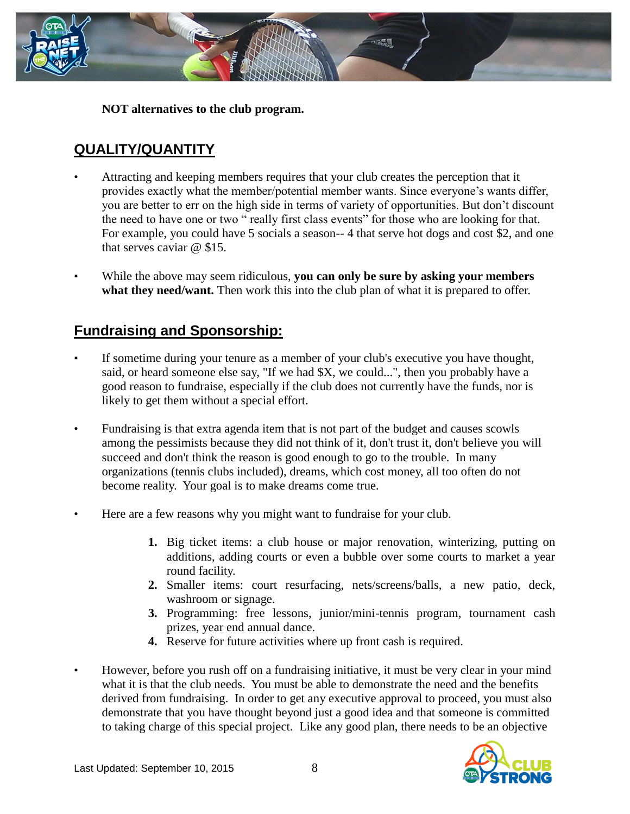

#### **NOT alternatives to the club program.**

#### **QUALITY/QUANTITY**

- Attracting and keeping members requires that your club creates the perception that it provides exactly what the member/potential member wants. Since everyone's wants differ, you are better to err on the high side in terms of variety of opportunities. But don't discount the need to have one or two " really first class events" for those who are looking for that. For example, you could have 5 socials a season-- 4 that serve hot dogs and cost \$2, and one that serves caviar @ \$15.
- While the above may seem ridiculous, **you can only be sure by asking your members**  what they need/want. Then work this into the club plan of what it is prepared to offer.

#### **Fundraising and Sponsorship:**

- If sometime during your tenure as a member of your club's executive you have thought, said, or heard someone else say, "If we had \$X, we could...", then you probably have a good reason to fundraise, especially if the club does not currently have the funds, nor is likely to get them without a special effort.
- Fundraising is that extra agenda item that is not part of the budget and causes scowls among the pessimists because they did not think of it, don't trust it, don't believe you will succeed and don't think the reason is good enough to go to the trouble. In many organizations (tennis clubs included), dreams, which cost money, all too often do not become reality. Your goal is to make dreams come true.
- Here are a few reasons why you might want to fundraise for your club.
	- **1.** Big ticket items: a club house or major renovation, winterizing, putting on additions, adding courts or even a bubble over some courts to market a year round facility.
	- **2.** Smaller items: court resurfacing, nets/screens/balls, a new patio, deck, washroom or signage.
	- **3.** Programming: free lessons, junior/mini-tennis program, tournament cash prizes, year end annual dance.
	- **4.** Reserve for future activities where up front cash is required.
- However, before you rush off on a fundraising initiative, it must be very clear in your mind what it is that the club needs. You must be able to demonstrate the need and the benefits derived from fundraising. In order to get any executive approval to proceed, you must also demonstrate that you have thought beyond just a good idea and that someone is committed to taking charge of this special project. Like any good plan, there needs to be an objective

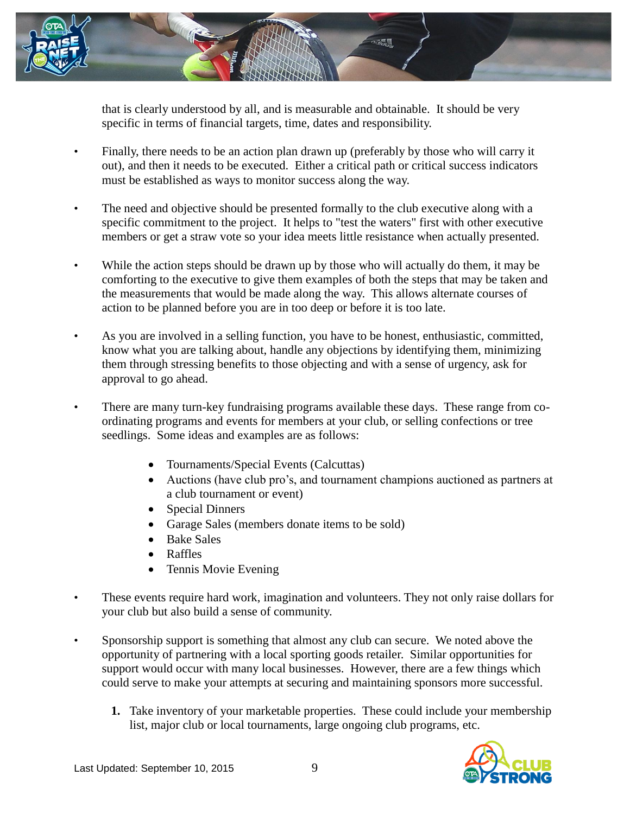

that is clearly understood by all, and is measurable and obtainable. It should be very specific in terms of financial targets, time, dates and responsibility.

- Finally, there needs to be an action plan drawn up (preferably by those who will carry it out), and then it needs to be executed. Either a critical path or critical success indicators must be established as ways to monitor success along the way.
- The need and objective should be presented formally to the club executive along with a specific commitment to the project. It helps to "test the waters" first with other executive members or get a straw vote so your idea meets little resistance when actually presented.
- While the action steps should be drawn up by those who will actually do them, it may be comforting to the executive to give them examples of both the steps that may be taken and the measurements that would be made along the way. This allows alternate courses of action to be planned before you are in too deep or before it is too late.
- As you are involved in a selling function, you have to be honest, enthusiastic, committed, know what you are talking about, handle any objections by identifying them, minimizing them through stressing benefits to those objecting and with a sense of urgency, ask for approval to go ahead.
- There are many turn-key fundraising programs available these days. These range from coordinating programs and events for members at your club, or selling confections or tree seedlings. Some ideas and examples are as follows:
	- Tournaments/Special Events (Calcuttas)
	- Auctions (have club pro's, and tournament champions auctioned as partners at a club tournament or event)
	- Special Dinners
	- Garage Sales (members donate items to be sold)
	- Bake Sales
	- Raffles
	- Tennis Movie Evening
- These events require hard work, imagination and volunteers. They not only raise dollars for your club but also build a sense of community.
- Sponsorship support is something that almost any club can secure. We noted above the opportunity of partnering with a local sporting goods retailer. Similar opportunities for support would occur with many local businesses. However, there are a few things which could serve to make your attempts at securing and maintaining sponsors more successful.
	- **1.** Take inventory of your marketable properties. These could include your membership list, major club or local tournaments, large ongoing club programs, etc.

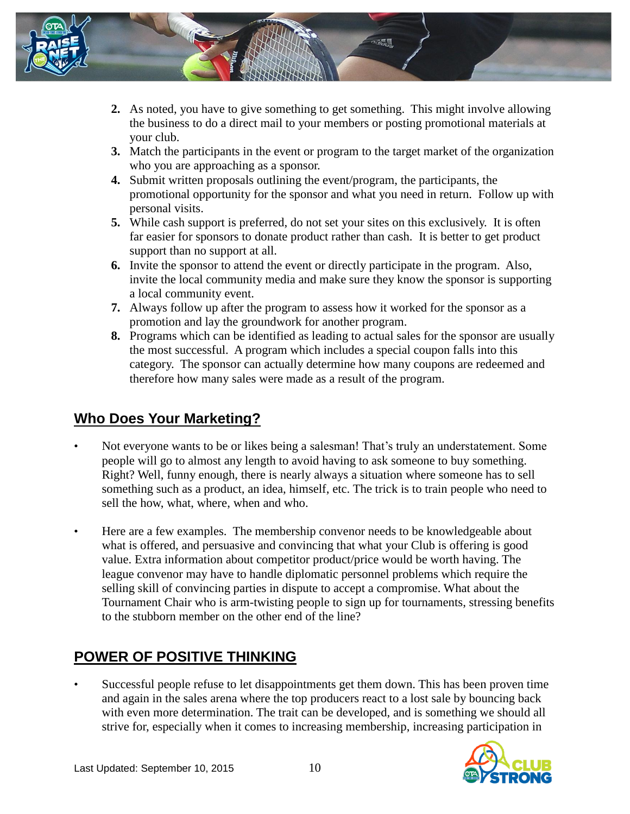

- **2.** As noted, you have to give something to get something. This might involve allowing the business to do a direct mail to your members or posting promotional materials at your club.
- **3.** Match the participants in the event or program to the target market of the organization who you are approaching as a sponsor.
- **4.** Submit written proposals outlining the event/program, the participants, the promotional opportunity for the sponsor and what you need in return. Follow up with personal visits.
- **5.** While cash support is preferred, do not set your sites on this exclusively. It is often far easier for sponsors to donate product rather than cash. It is better to get product support than no support at all.
- **6.** Invite the sponsor to attend the event or directly participate in the program. Also, invite the local community media and make sure they know the sponsor is supporting a local community event.
- **7.** Always follow up after the program to assess how it worked for the sponsor as a promotion and lay the groundwork for another program.
- **8.** Programs which can be identified as leading to actual sales for the sponsor are usually the most successful. A program which includes a special coupon falls into this category. The sponsor can actually determine how many coupons are redeemed and therefore how many sales were made as a result of the program.

## **Who Does Your Marketing?**

- Not everyone wants to be or likes being a salesman! That's truly an understatement. Some people will go to almost any length to avoid having to ask someone to buy something. Right? Well, funny enough, there is nearly always a situation where someone has to sell something such as a product, an idea, himself, etc. The trick is to train people who need to sell the how, what, where, when and who.
- Here are a few examples. The membership convenor needs to be knowledgeable about what is offered, and persuasive and convincing that what your Club is offering is good value. Extra information about competitor product/price would be worth having. The league convenor may have to handle diplomatic personnel problems which require the selling skill of convincing parties in dispute to accept a compromise. What about the Tournament Chair who is arm-twisting people to sign up for tournaments, stressing benefits to the stubborn member on the other end of the line?

# **POWER OF POSITIVE THINKING**

• Successful people refuse to let disappointments get them down. This has been proven time and again in the sales arena where the top producers react to a lost sale by bouncing back with even more determination. The trait can be developed, and is something we should all strive for, especially when it comes to increasing membership, increasing participation in

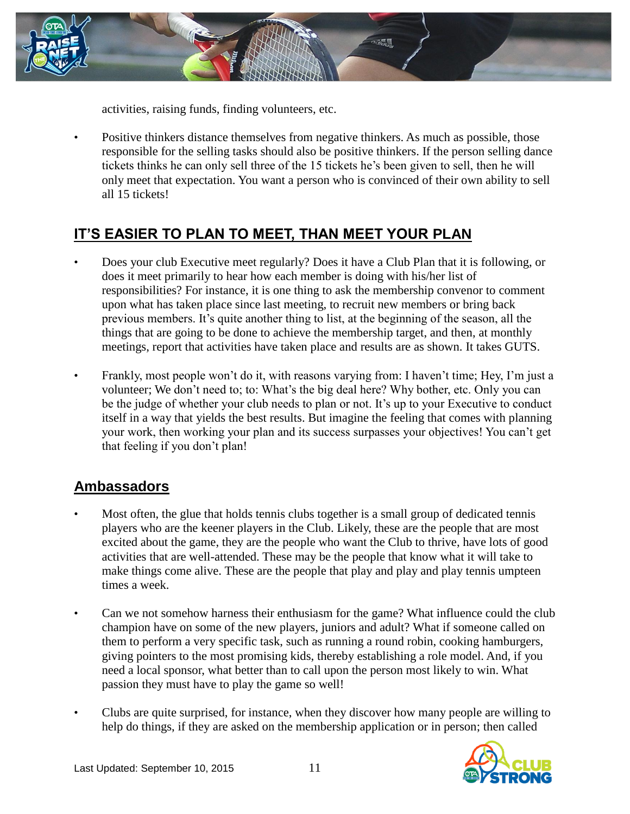

activities, raising funds, finding volunteers, etc.

• Positive thinkers distance themselves from negative thinkers. As much as possible, those responsible for the selling tasks should also be positive thinkers. If the person selling dance tickets thinks he can only sell three of the 15 tickets he's been given to sell, then he will only meet that expectation. You want a person who is convinced of their own ability to sell all 15 tickets!

# **IT'S EASIER TO PLAN TO MEET, THAN MEET YOUR PLAN**

- Does your club Executive meet regularly? Does it have a Club Plan that it is following, or does it meet primarily to hear how each member is doing with his/her list of responsibilities? For instance, it is one thing to ask the membership convenor to comment upon what has taken place since last meeting, to recruit new members or bring back previous members. It's quite another thing to list, at the beginning of the season, all the things that are going to be done to achieve the membership target, and then, at monthly meetings, report that activities have taken place and results are as shown. It takes GUTS.
- Frankly, most people won't do it, with reasons varying from: I haven't time; Hey, I'm just a volunteer; We don't need to; to: What's the big deal here? Why bother, etc. Only you can be the judge of whether your club needs to plan or not. It's up to your Executive to conduct itself in a way that yields the best results. But imagine the feeling that comes with planning your work, then working your plan and its success surpasses your objectives! You can't get that feeling if you don't plan!

#### **Ambassadors**

- Most often, the glue that holds tennis clubs together is a small group of dedicated tennis players who are the keener players in the Club. Likely, these are the people that are most excited about the game, they are the people who want the Club to thrive, have lots of good activities that are well-attended. These may be the people that know what it will take to make things come alive. These are the people that play and play and play tennis umpteen times a week.
- Can we not somehow harness their enthusiasm for the game? What influence could the club champion have on some of the new players, juniors and adult? What if someone called on them to perform a very specific task, such as running a round robin, cooking hamburgers, giving pointers to the most promising kids, thereby establishing a role model. And, if you need a local sponsor, what better than to call upon the person most likely to win. What passion they must have to play the game so well!
- Clubs are quite surprised, for instance, when they discover how many people are willing to help do things, if they are asked on the membership application or in person; then called

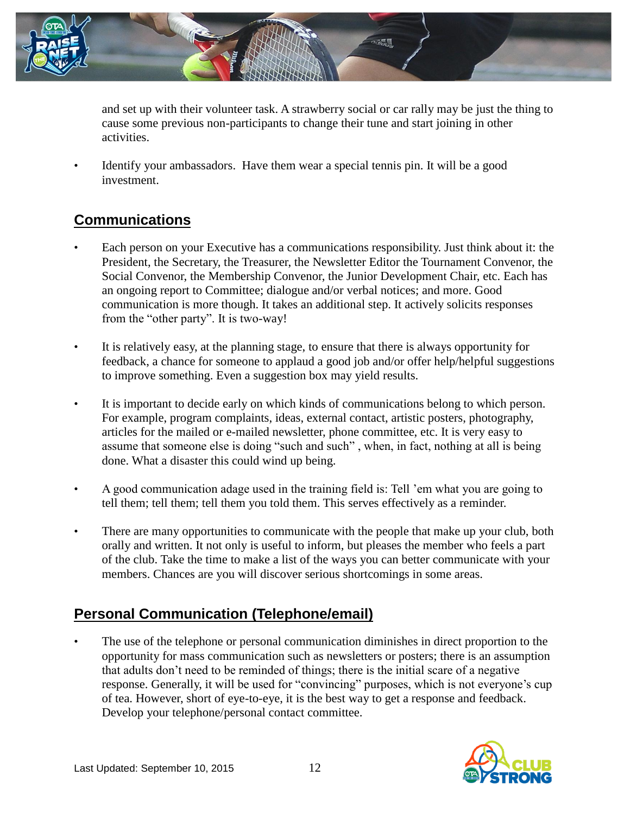

and set up with their volunteer task. A strawberry social or car rally may be just the thing to cause some previous non-participants to change their tune and start joining in other activities.

• Identify your ambassadors. Have them wear a special tennis pin. It will be a good investment.

# **Communications**

- Each person on your Executive has a communications responsibility. Just think about it: the President, the Secretary, the Treasurer, the Newsletter Editor the Tournament Convenor, the Social Convenor, the Membership Convenor, the Junior Development Chair, etc. Each has an ongoing report to Committee; dialogue and/or verbal notices; and more. Good communication is more though. It takes an additional step. It actively solicits responses from the "other party". It is two-way!
- It is relatively easy, at the planning stage, to ensure that there is always opportunity for feedback, a chance for someone to applaud a good job and/or offer help/helpful suggestions to improve something. Even a suggestion box may yield results.
- It is important to decide early on which kinds of communications belong to which person. For example, program complaints, ideas, external contact, artistic posters, photography, articles for the mailed or e-mailed newsletter, phone committee, etc. It is very easy to assume that someone else is doing "such and such" , when, in fact, nothing at all is being done. What a disaster this could wind up being.
- A good communication adage used in the training field is: Tell 'em what you are going to tell them; tell them; tell them you told them. This serves effectively as a reminder.
- There are many opportunities to communicate with the people that make up your club, both orally and written. It not only is useful to inform, but pleases the member who feels a part of the club. Take the time to make a list of the ways you can better communicate with your members. Chances are you will discover serious shortcomings in some areas.

# **Personal Communication (Telephone/email)**

• The use of the telephone or personal communication diminishes in direct proportion to the opportunity for mass communication such as newsletters or posters; there is an assumption that adults don't need to be reminded of things; there is the initial scare of a negative response. Generally, it will be used for "convincing" purposes, which is not everyone's cup of tea. However, short of eye-to-eye, it is the best way to get a response and feedback. Develop your telephone/personal contact committee.

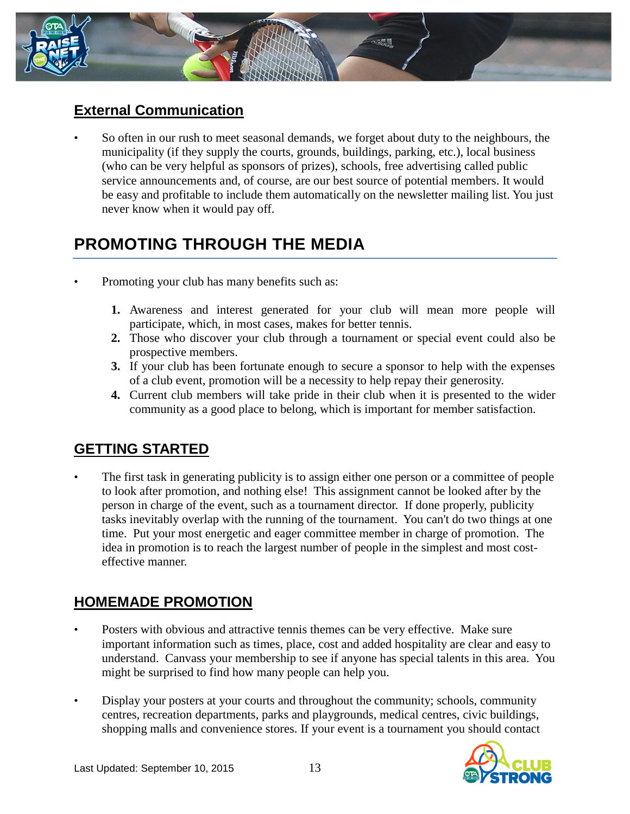

## **External Communication**

• So often in our rush to meet seasonal demands, we forget about duty to the neighbours, the municipality (if they supply the courts, grounds, buildings, parking, etc.), local business (who can be very helpful as sponsors of prizes), schools, free advertising called public service announcements and, of course, are our best source of potential members. It would be easy and profitable to include them automatically on the newsletter mailing list. You just never know when it would pay off.

# **PROMOTING THROUGH THE MEDIA**

- Promoting your club has many benefits such as:
	- **1.** Awareness and interest generated for your club will mean more people will participate, which, in most cases, makes for better tennis.
	- **2.** Those who discover your club through a tournament or special event could also be prospective members.
	- **3.** If your club has been fortunate enough to secure a sponsor to help with the expenses of a club event, promotion will be a necessity to help repay their generosity.
	- **4.** Current club members will take pride in their club when it is presented to the wider community as a good place to belong, which is important for member satisfaction.

## **GETTING STARTED**

• The first task in generating publicity is to assign either one person or a committee of people to look after promotion, and nothing else! This assignment cannot be looked after by the person in charge of the event, such as a tournament director. If done properly, publicity tasks inevitably overlap with the running of the tournament. You can't do two things at one time. Put your most energetic and eager committee member in charge of promotion. The idea in promotion is to reach the largest number of people in the simplest and most costeffective manner.

## **HOMEMADE PROMOTION**

- Posters with obvious and attractive tennis themes can be very effective. Make sure important information such as times, place, cost and added hospitality are clear and easy to understand. Canvass your membership to see if anyone has special talents in this area. You might be surprised to find how many people can help you.
- Display your posters at your courts and throughout the community; schools, community centres, recreation departments, parks and playgrounds, medical centres, civic buildings, shopping malls and convenience stores. If your event is a tournament you should contact

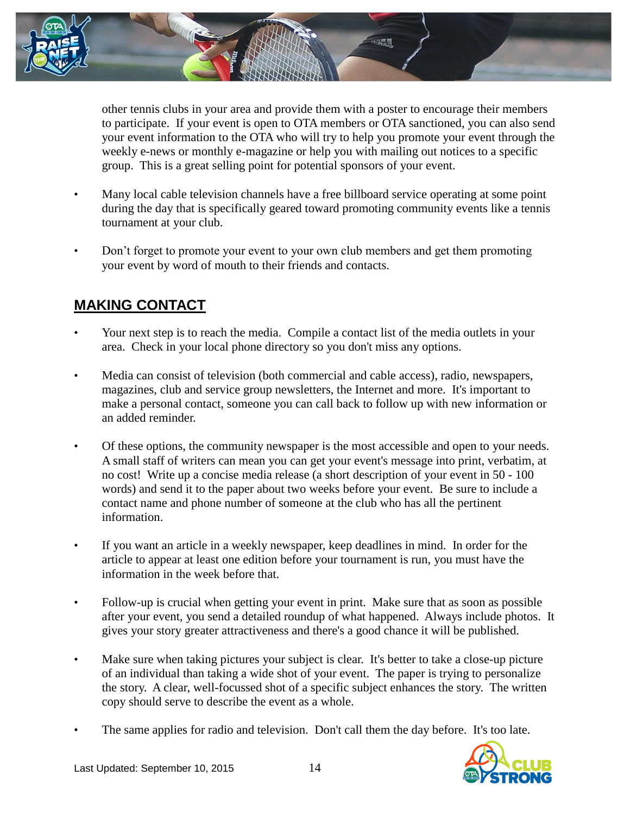

other tennis clubs in your area and provide them with a poster to encourage their members to participate. If your event is open to OTA members or OTA sanctioned, you can also send your event information to the OTA who will try to help you promote your event through the weekly e-news or monthly e-magazine or help you with mailing out notices to a specific group. This is a great selling point for potential sponsors of your event.

- Many local cable television channels have a free billboard service operating at some point during the day that is specifically geared toward promoting community events like a tennis tournament at your club.
- Don't forget to promote your event to your own club members and get them promoting your event by word of mouth to their friends and contacts.

# **MAKING CONTACT**

- Your next step is to reach the media. Compile a contact list of the media outlets in your area. Check in your local phone directory so you don't miss any options.
- Media can consist of television (both commercial and cable access), radio, newspapers, magazines, club and service group newsletters, the Internet and more. It's important to make a personal contact, someone you can call back to follow up with new information or an added reminder.
- Of these options, the community newspaper is the most accessible and open to your needs. A small staff of writers can mean you can get your event's message into print, verbatim, at no cost! Write up a concise media release (a short description of your event in 50 - 100 words) and send it to the paper about two weeks before your event. Be sure to include a contact name and phone number of someone at the club who has all the pertinent information.
- If you want an article in a weekly newspaper, keep deadlines in mind. In order for the article to appear at least one edition before your tournament is run, you must have the information in the week before that.
- Follow-up is crucial when getting your event in print. Make sure that as soon as possible after your event, you send a detailed roundup of what happened. Always include photos. It gives your story greater attractiveness and there's a good chance it will be published.
- Make sure when taking pictures your subject is clear. It's better to take a close-up picture of an individual than taking a wide shot of your event. The paper is trying to personalize the story. A clear, well-focussed shot of a specific subject enhances the story. The written copy should serve to describe the event as a whole.
- The same applies for radio and television. Don't call them the day before. It's too late.

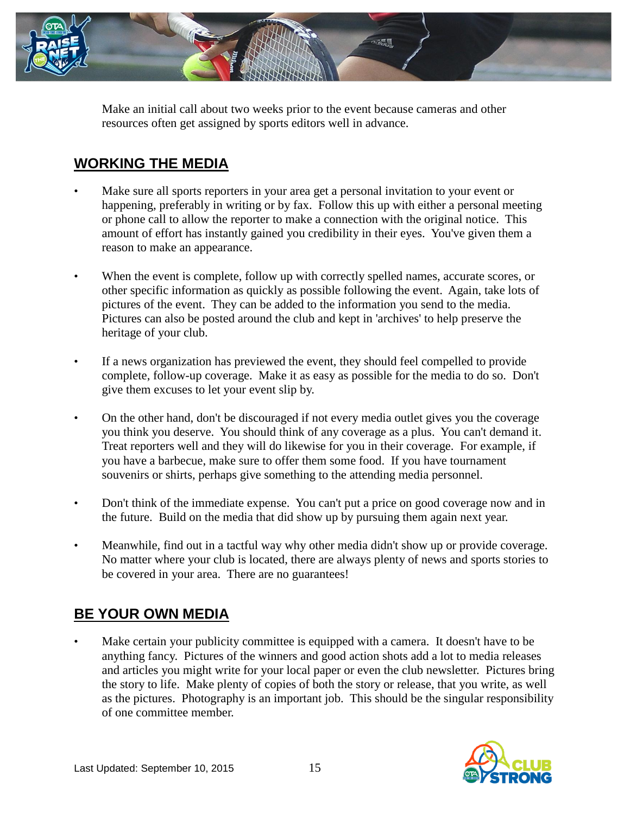

Make an initial call about two weeks prior to the event because cameras and other resources often get assigned by sports editors well in advance.

#### **WORKING THE MEDIA**

- Make sure all sports reporters in your area get a personal invitation to your event or happening, preferably in writing or by fax. Follow this up with either a personal meeting or phone call to allow the reporter to make a connection with the original notice. This amount of effort has instantly gained you credibility in their eyes. You've given them a reason to make an appearance.
- When the event is complete, follow up with correctly spelled names, accurate scores, or other specific information as quickly as possible following the event. Again, take lots of pictures of the event. They can be added to the information you send to the media. Pictures can also be posted around the club and kept in 'archives' to help preserve the heritage of your club.
- If a news organization has previewed the event, they should feel compelled to provide complete, follow-up coverage. Make it as easy as possible for the media to do so. Don't give them excuses to let your event slip by.
- On the other hand, don't be discouraged if not every media outlet gives you the coverage you think you deserve. You should think of any coverage as a plus. You can't demand it. Treat reporters well and they will do likewise for you in their coverage. For example, if you have a barbecue, make sure to offer them some food. If you have tournament souvenirs or shirts, perhaps give something to the attending media personnel.
- Don't think of the immediate expense. You can't put a price on good coverage now and in the future. Build on the media that did show up by pursuing them again next year.
- Meanwhile, find out in a tactful way why other media didn't show up or provide coverage. No matter where your club is located, there are always plenty of news and sports stories to be covered in your area. There are no guarantees!

# **BE YOUR OWN MEDIA**

Make certain your publicity committee is equipped with a camera. It doesn't have to be anything fancy. Pictures of the winners and good action shots add a lot to media releases and articles you might write for your local paper or even the club newsletter. Pictures bring the story to life. Make plenty of copies of both the story or release, that you write, as well as the pictures. Photography is an important job. This should be the singular responsibility of one committee member.

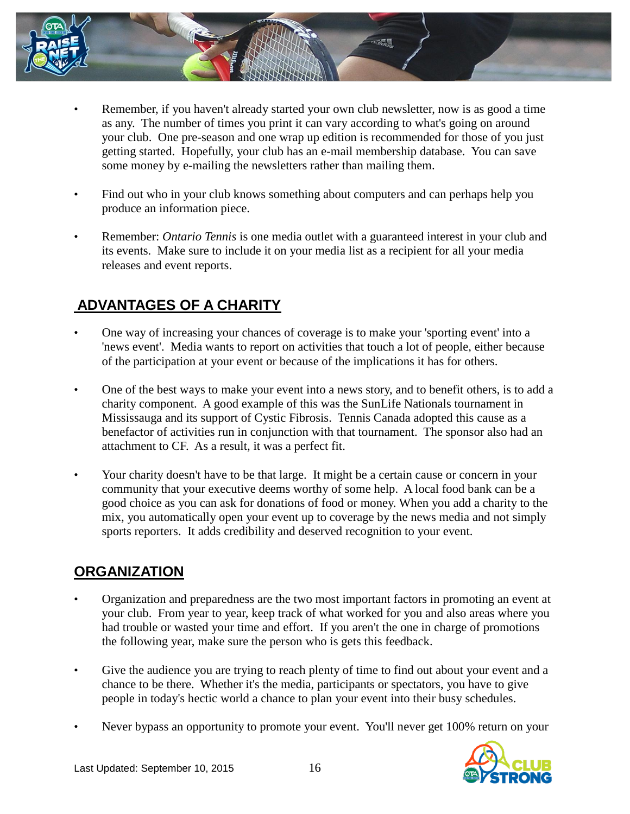

- Remember, if you haven't already started your own club newsletter, now is as good a time as any. The number of times you print it can vary according to what's going on around your club. One pre-season and one wrap up edition is recommended for those of you just getting started. Hopefully, your club has an e-mail membership database. You can save some money by e-mailing the newsletters rather than mailing them.
- Find out who in your club knows something about computers and can perhaps help you produce an information piece.
- Remember: *Ontario Tennis* is one media outlet with a guaranteed interest in your club and its events. Make sure to include it on your media list as a recipient for all your media releases and event reports.

# **ADVANTAGES OF A CHARITY**

- One way of increasing your chances of coverage is to make your 'sporting event' into a 'news event'. Media wants to report on activities that touch a lot of people, either because of the participation at your event or because of the implications it has for others.
- One of the best ways to make your event into a news story, and to benefit others, is to add a charity component. A good example of this was the SunLife Nationals tournament in Mississauga and its support of Cystic Fibrosis. Tennis Canada adopted this cause as a benefactor of activities run in conjunction with that tournament. The sponsor also had an attachment to CF. As a result, it was a perfect fit.
- Your charity doesn't have to be that large. It might be a certain cause or concern in your community that your executive deems worthy of some help. A local food bank can be a good choice as you can ask for donations of food or money. When you add a charity to the mix, you automatically open your event up to coverage by the news media and not simply sports reporters. It adds credibility and deserved recognition to your event.

## **ORGANIZATION**

- Organization and preparedness are the two most important factors in promoting an event at your club. From year to year, keep track of what worked for you and also areas where you had trouble or wasted your time and effort. If you aren't the one in charge of promotions the following year, make sure the person who is gets this feedback.
- Give the audience you are trying to reach plenty of time to find out about your event and a chance to be there. Whether it's the media, participants or spectators, you have to give people in today's hectic world a chance to plan your event into their busy schedules.
- Never bypass an opportunity to promote your event. You'll never get 100% return on your

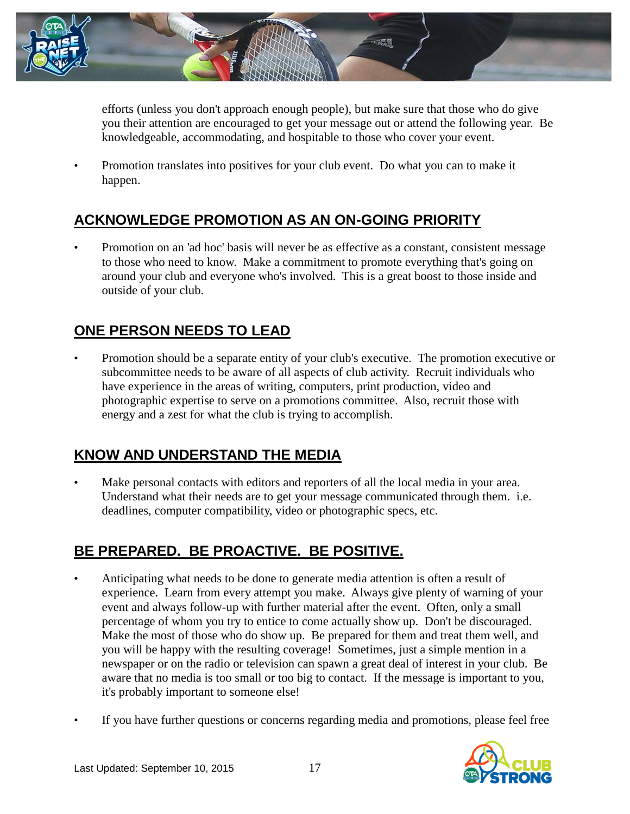

efforts (unless you don't approach enough people), but make sure that those who do give you their attention are encouraged to get your message out or attend the following year. Be knowledgeable, accommodating, and hospitable to those who cover your event.

• Promotion translates into positives for your club event. Do what you can to make it happen.

## **ACKNOWLEDGE PROMOTION AS AN ON-GOING PRIORITY**

• Promotion on an 'ad hoc' basis will never be as effective as a constant, consistent message to those who need to know. Make a commitment to promote everything that's going on around your club and everyone who's involved. This is a great boost to those inside and outside of your club.

# **ONE PERSON NEEDS TO LEAD**

• Promotion should be a separate entity of your club's executive. The promotion executive or subcommittee needs to be aware of all aspects of club activity. Recruit individuals who have experience in the areas of writing, computers, print production, video and photographic expertise to serve on a promotions committee. Also, recruit those with energy and a zest for what the club is trying to accomplish.

## **KNOW AND UNDERSTAND THE MEDIA**

Make personal contacts with editors and reporters of all the local media in your area. Understand what their needs are to get your message communicated through them. i.e. deadlines, computer compatibility, video or photographic specs, etc.

# **BE PREPARED. BE PROACTIVE. BE POSITIVE.**

- Anticipating what needs to be done to generate media attention is often a result of experience. Learn from every attempt you make. Always give plenty of warning of your event and always follow-up with further material after the event. Often, only a small percentage of whom you try to entice to come actually show up. Don't be discouraged. Make the most of those who do show up. Be prepared for them and treat them well, and you will be happy with the resulting coverage! Sometimes, just a simple mention in a newspaper or on the radio or television can spawn a great deal of interest in your club. Be aware that no media is too small or too big to contact. If the message is important to you, it's probably important to someone else!
- If you have further questions or concerns regarding media and promotions, please feel free